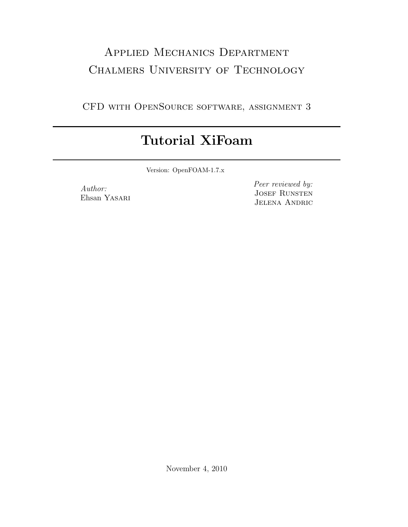## Applied Mechanics Department CHALMERS UNIVERSITY OF TECHNOLOGY

CFD with OpenSource software, assignment 3

## Tutorial XiFoam

Version: OpenFOAM-1.7.x

Author: Ehsan Yasari Peer reviewed by: JOSEF RUNSTEN JELENA ANDRIC

November 4, 2010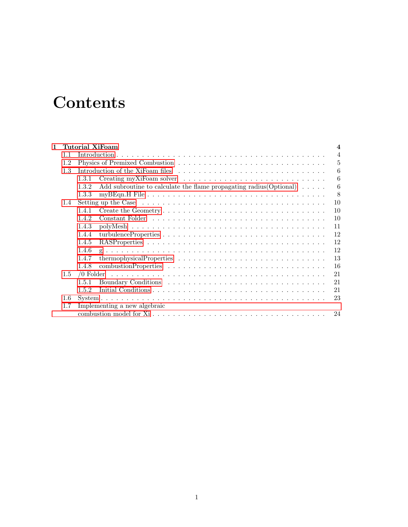## **Contents**

| 1 |     | Tutorial XiFoam<br>$\boldsymbol{4}$                                                          |                |  |  |
|---|-----|----------------------------------------------------------------------------------------------|----------------|--|--|
|   | 1.1 |                                                                                              | $\overline{4}$ |  |  |
|   | 1.2 |                                                                                              | 5              |  |  |
|   | 1.3 |                                                                                              | 6              |  |  |
|   |     | 1.3.1                                                                                        | 6              |  |  |
|   |     | Add subroutine to calculate the flame propagating radius (Optional) $\ldots \ldots$<br>1.3.2 | 6              |  |  |
|   |     | 1.3.3                                                                                        | 8              |  |  |
|   | 1.4 |                                                                                              | 10             |  |  |
|   |     | 1.4.1                                                                                        | 10             |  |  |
|   |     | 1.4.2                                                                                        | 10             |  |  |
|   |     | 1.4.3                                                                                        | 11             |  |  |
|   |     | 1.4.4                                                                                        | 12             |  |  |
|   |     | 1.4.5                                                                                        | 12             |  |  |
|   |     | 1.4.6                                                                                        | 12             |  |  |
|   |     | 1.4.7                                                                                        | 13             |  |  |
|   |     | 1.4.8                                                                                        | 16             |  |  |
|   | 1.5 |                                                                                              | 21             |  |  |
|   |     | 1.5.1                                                                                        | 21             |  |  |
|   |     | 1.5.2                                                                                        | 21             |  |  |
|   | 1.6 |                                                                                              | 23             |  |  |
|   | 1.7 | Implementing a new algebraic                                                                 |                |  |  |
|   |     |                                                                                              | 24             |  |  |
|   |     |                                                                                              |                |  |  |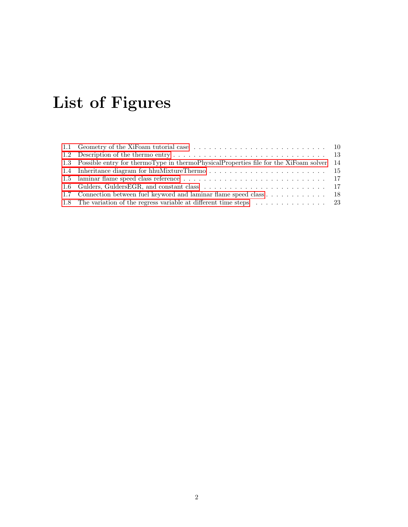# List of Figures

| 1.3 Possible entry for thermoType in thermoPhysicalProperties file for the XiFoam solver 14 |  |
|---------------------------------------------------------------------------------------------|--|
|                                                                                             |  |
|                                                                                             |  |
|                                                                                             |  |
| 1.7 Connection between fuel keyword and laminar flame speed class 18                        |  |
| 1.8 The variation of the regress variable at different time steps 23                        |  |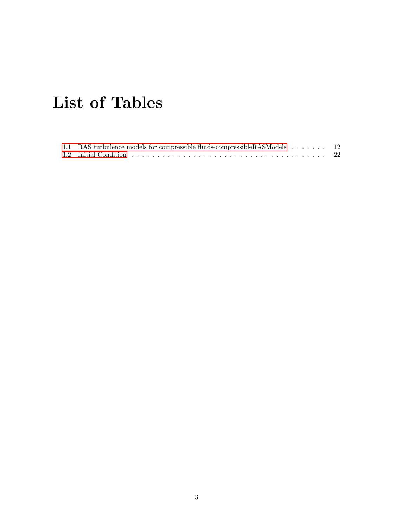# List of Tables

| 1.1 RAS turbulence models for compressible fluids-compressible RASModels 12 |  |
|-----------------------------------------------------------------------------|--|
|                                                                             |  |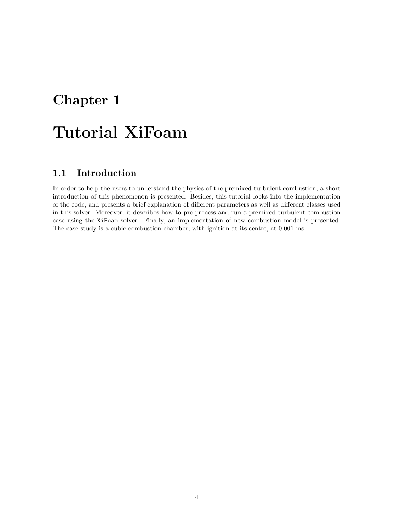### <span id="page-4-0"></span>Chapter 1

## Tutorial XiFoam

### <span id="page-4-1"></span>1.1 Introduction

In order to help the users to understand the physics of the premixed turbulent combustion, a short introduction of this phenomenon is presented. Besides, this tutorial looks into the implementation of the code, and presents a brief explanation of different parameters as well as different classes used in this solver. Moreover, it describes how to pre-process and run a premixed turbulent combustion case using the XiFoam solver. Finally, an implementation of new combustion model is presented. The case study is a cubic combustion chamber, with ignition at its centre, at 0.001 ms.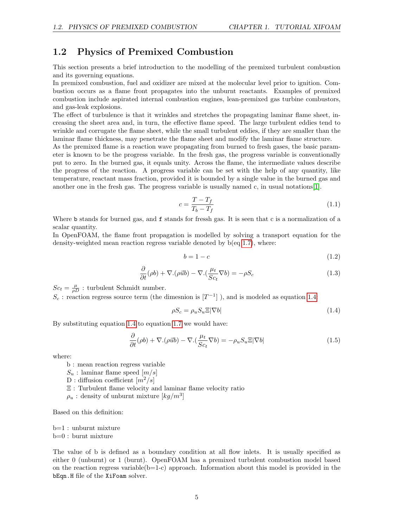#### <span id="page-5-0"></span>1.2 Physics of Premixed Combustion

This section presents a brief introduction to the modelling of the premixed turbulent combustion and its governing equations.

In premixed combustion, fuel and oxidizer are mixed at the molecular level prior to ignition. Combustion occurs as a flame front propagates into the unburnt reactants. Examples of premixed combustion include aspirated internal combustion engines, lean-premixed gas turbine combustors, and gas-leak explosions.

The effect of turbulence is that it wrinkles and stretches the propagating laminar flame sheet, increasing the sheet area and, in turn, the effective flame speed. The large turbulent eddies tend to wrinkle and corrugate the flame sheet, while the small turbulent eddies, if they are smaller than the laminar flame thickness, may penetrate the flame sheet and modify the laminar flame structure.

As the premixed flame is a reaction wave propagating from burned to fresh gases, the basic parameter is known to be the progress variable. In the fresh gas, the progress variable is conventionally put to zero. In the burned gas, it equals unity. Across the flame, the intermediate values describe the progress of the reaction. A progress variable can be set with the help of any quantity, like temperature, reactant mass fraction, provided it is bounded by a single value in the burned gas and another one in the fresh gas. The progress variable is usually named c, in usual notations[\[1\]](#page-27-0).

$$
c = \frac{T - T_f}{T_b - T_f} \tag{1.1}
$$

Where b stands for burned gas, and f stands for fressh gas. It is seen that c is a normalization of a scalar quantity.

In OpenFOAM, the flame front propagation is modelled by solving a transport equation for the density-weighted mean reaction regress variable denoted by b(eq [1.7\)](#page-8-1), where:

$$
b = 1 - c \tag{1.2}
$$

$$
\frac{\partial}{\partial t}(\rho b) + \nabla \cdot (\rho \vec{u}b) - \nabla \cdot (\frac{\mu_t}{Sc_t} \nabla b) = -\rho S_c \tag{1.3}
$$

 $Sc_t = \frac{\mu}{\rho D}$ : turbulent Schmidt number.

 $S_c$ : reaction regress source term (the dimesnion is  $[T^{-1}]$ ), and is modeled as equation [1.4:](#page-5-1)

<span id="page-5-1"></span>
$$
\rho S_c = \rho_u S_u \Xi |\nabla b| \tag{1.4}
$$

By substituting equation [1.4](#page-5-1) to equation [1.7](#page-8-1) we would have:

$$
\frac{\partial}{\partial t}(\rho b) + \nabla \cdot (\rho \vec{u}b) - \nabla \cdot (\frac{\mu_t}{Sc_t} \nabla b) = -\rho_u S_u \Xi |\nabla b| \tag{1.5}
$$

where:

- b : mean reaction regress variable
- $S_u$ : laminar flame speed  $[m/s]$
- D : diffusion coefficient  $[m^2/s]$

Ξ : Turbulent flame velocity and laminar flame velocity ratio

 $\rho_u$ : density of unburnt mixture  $[kg/m^3]$ 

Based on this definition:

b=1 : unburnt mixture

b=0 : burnt mixture

The value of b is defined as a boundary condition at all flow inlets. It is usually specified as either 0 (unburnt) or 1 (burnt). OpenFOAM has a premixed turbulent combustion model based on the reaction regress variable( $b=1-c$ ) approach. Information about this model is provided in the bEqn.H file of the XiFoam solver.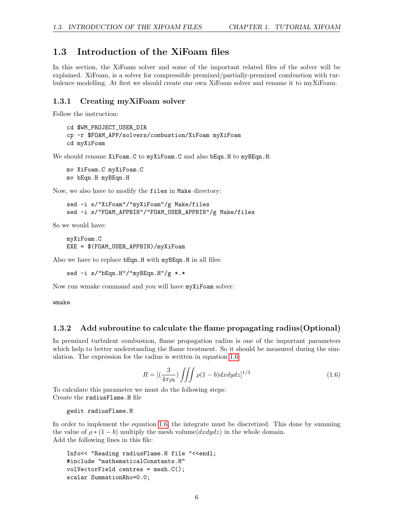#### <span id="page-6-0"></span>1.3 Introduction of the XiFoam files

In this section, the XiFoam solver and some of the important related files of the solver will be explained. XiFoam, is a solver for compressible premixed/partially-premixed combustion with turbulence modelling. At first we should create our own XiFoam solver and rename it to myXiFoam.

#### <span id="page-6-1"></span>1.3.1 Creating myXiFoam solver

Follow the instruction:

```
cd $WM_PROJECT_USER_DIR
cp -r $FOAM_APP/solvers/combustion/XiFoam myXiFoam
cd myXiFoam
```
We should rename XiFoam.C to myXiFoam.C and also bEqn.H to myBEqn.H:

mv XiFoam.C myXiFoam.C mv bEqn.H myBEqn.H

Now, we also have to modify the files in Make directory:

```
sed -i s/"XiFoam"/"myXiFoam"/g Make/files
sed -i s/"FOAM_APPBIN"/"FOAM_USER_APPBIN"/g Make/files
```
So we would have:

myXiFoam.C EXE = \$(FOAM\_USER\_APPBIN)/myXiFoam

Also we have to replace bEqn.H with myBEqn.H in all files:

sed -i s/"bEqn.H"/"myBEqn.H"/g \*.\*

Now run wmake command and you will have myXiFoam solver:

wmake

#### <span id="page-6-2"></span>1.3.2 Add subroutine to calculate the flame propagating radius(Optional)

In premixed turbulent combustion, flame propagation radius is one of the important parameters which help to better understanding the flame treatment. So it should be measured during the simulation. The expression for the radius is written in equation [1.6:](#page-6-3)

<span id="page-6-3"></span>
$$
R = \left[ \left( \frac{3}{4\pi \rho_b} \right) \iiint \rho (1 - b) dx dy dz \right]^{1/3} \tag{1.6}
$$

To calculate this parameter we must do the following steps: Create the radiusFlame.H file

```
gedit radiusFlame.H
```
In order to implement the equation [1.6,](#page-6-3) the integrate must be discretized. This done by summing the value of  $\rho * (1 - b)$  multiply the mesh volume( $dxdydz$ ) in the whole domain. Add the following lines in this file:

```
Info<< "Reading radiusFlame.H file "<<endl;
#include "mathematicalConstants.H"
volVectorField centres = mesh.C();
scalar SummationRho=0.0;
```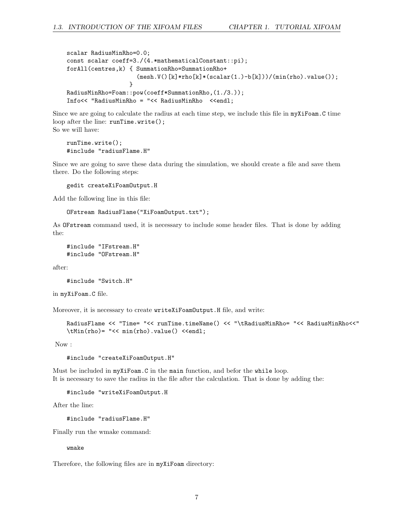```
scalar RadiusMinRho=0.0;
const scalar coeff=3./(4.*mathematicalConstant::pi);
forAll(centres,k) { SummationRho=SummationRho+
                    (mesh.V() [k]*rho[k]*(scalar(1.)-b[k]))/(min(rho).value());
                  }
RadiusMinRho=Foam::pow(coeff*SummationRho,(1./3.));
Info<< "RadiusMinRho = "<< RadiusMinRho <<endl;
```
Since we are going to calculate the radius at each time step, we include this file in myXiFoam.C time loop after the line: runTime.write(); So we will have:

```
runTime.write();
#include "radiusFlame.H"
```
Since we are going to save these data during the simulation, we should create a file and save them there. Do the following steps:

gedit createXiFoamOutput.H

Add the following line in this file:

```
OFstream RadiusFlame("XiFoamOutput.txt");
```
As OFstream command used, it is necessary to include some header files. That is done by adding the:

```
#include "IFstream.H"
#include "OFstream.H"
```
after:

```
#include "Switch.H"
```
in myXiFoam.C file.

Moreover, it is necessary to create writeXiFoamOutput.H file, and write:

```
RadiusFlame << "Time= "<< runTime.timeName() << "\tRadiusMinRho= "<< RadiusMinRho<<"
\tMin(rho)= "<< min(rho).value() <<endl;
```
Now :

```
#include "createXiFoamOutput.H"
```
Must be included in myXiFoam.C in the main function, and befor the while loop. It is necessary to save the radius in the file after the calculation. That is done by adding the:

#include "writeXiFoamOutput.H

After the line:

#include "radiusFlame.H"

Finally run the wmake command:

wmake

Therefore, the following files are in myXiFoam directory: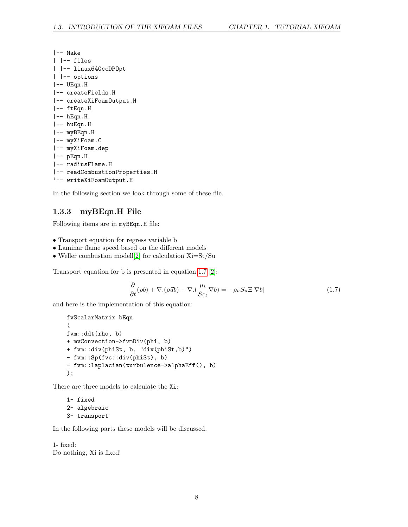| l-- Make                      |
|-------------------------------|
| -- files                      |
| -- linux64GccDP0pt            |
| -- options                    |
| -- UEqn.H                     |
| -- createFields.H             |
| -- createXiFoamOutput.H       |
| -- ftEqn.H                    |
| -- hEqn.H                     |
| -- huEqn.H                    |
| -- myBEqn.H                   |
| -- myXiFoam.C                 |
| -- myXiFoam.dep               |
| -- pEqn.H                     |
| -- radiusFlame.H              |
| -- readCombustionProperties.H |
| '-- writeXiFoamOutput.H       |

In the following section we look through some of these file.

#### <span id="page-8-0"></span>1.3.3 myBEqn.H File

Following items are in myBEqn.H file:

- Transport equation for regress variable b
- Laminar flame speed based on the different models
- Weller combustion modell[\[2\]](#page-27-1) for calculation Xi=St/Su

Transport equation for b is presented in equation [1.7](#page-8-1) [\[2\]](#page-27-1):

<span id="page-8-1"></span>
$$
\frac{\partial}{\partial t}(\rho b) + \nabla \cdot (\rho \vec{u}b) - \nabla \cdot (\frac{\mu_t}{Sc_t} \nabla b) = -\rho_u S_u \Xi |\nabla b| \tag{1.7}
$$

and here is the implementation of this equation:

```
fvScalarMatrix bEqn
(
fvm::ddt(rho, b)
+ mvConvection->fvmDiv(phi, b)
+ fvm::div(phiSt, b, "div(phiSt,b)")
- fvm::Sp(fvc::div(phiSt), b)
- fvm::laplacian(turbulence->alphaEff(), b)
);
```
There are three models to calculate the Xi:

```
1- fixed
2- algebraic
3- transport
```
In the following parts these models will be discussed.

1- fixed: Do nothing, Xi is fixed!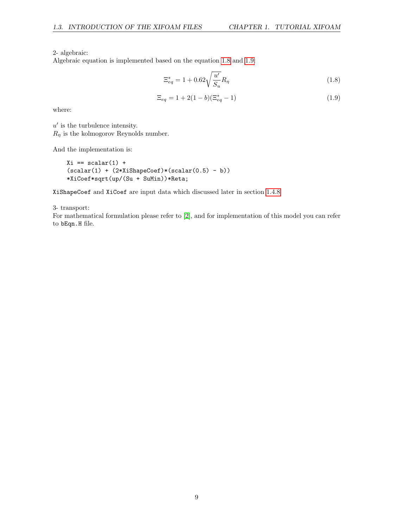2- algebraic:

Algebraic equation is implemented based on the equation [1.8](#page-9-0) and [1.9:](#page-9-1)

<span id="page-9-0"></span>
$$
\Xi_{eq}^{*} = 1 + 0.62 \sqrt{\frac{u'}{S_u}} R_{\eta}
$$
\n(1.8)

<span id="page-9-1"></span>
$$
\Xi_{eq} = 1 + 2(1 - b)(\Xi_{eq}^* - 1) \tag{1.9}
$$

where:

 $u'$  is the turbulence intensity.  $R_n$  is the kolmogorov Reynolds number.

And the implementation is:

 $Xi = scalar(1) +$  $(scalar(1) + (2*XiShapeCoef)*(scalar(0.5) - b))$ \*XiCoef\*sqrt(up/(Su + SuMin))\*Reta;

XiShapeCoef and XiCoef are input data which discussed later in section [1.4.8](#page-16-0)

3- transport:

For mathematical formulation please refer to [\[2\]](#page-27-1), and for implementation of this model you can refer to bEqn.H file.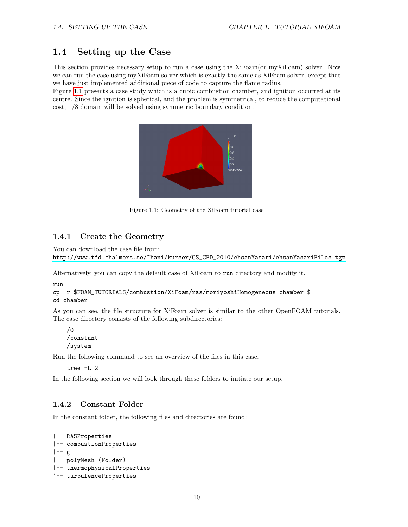### <span id="page-10-0"></span>1.4 Setting up the Case

This section provides necessary setup to run a case using the XiFoam(or myXiFoam) solver. Now we can run the case using myXiFoam solver which is exactly the same as XiFoam solver, except that we have just implemented additional piece of code to capture the flame radius.

Figure [1.1](#page-10-3) presents a case study which is a cubic combustion chamber, and ignition occurred at its centre. Since the ignition is spherical, and the problem is symmetrical, to reduce the computational cost, 1/8 domain will be solved using symmetric boundary condition.

<span id="page-10-3"></span>

Figure 1.1: Geometry of the XiFoam tutorial case

#### <span id="page-10-1"></span>1.4.1 Create the Geometry

You can download the case file from:

[http://www.tfd.chalmers.se/~hani/kurser/OS\\_CFD\\_2010/ehsanYasari/ehsanYasariFiles.tgz](http://www.tfd.chalmers.se/~hani/kurser/OS_CFD_2010/ehsanYasari/ehsanYasariFiles.tgz)

Alternatively, you can copy the default case of XiFoam to run directory and modify it.

run

```
cp -r $FOAM_TUTORIALS/combustion/XiFoam/ras/moriyoshiHomogeneous chamber $
cd chamber
```
As you can see, the file structure for XiFoam solver is similar to the other OpenFOAM tutorials. The case directory consists of the following subdirectories:

```
/0
/constant
/system
```
Run the following command to see an overview of the files in this case.

tree -L 2

In the following section we will look through these folders to initiate our setup.

#### <span id="page-10-2"></span>1.4.2 Constant Folder

In the constant folder, the following files and directories are found:

```
|-- RASProperties
|-- combustionProperties
|--|g
|-- polyMesh (Folder)
|-- thermophysicalProperties
'-- turbulenceProperties
```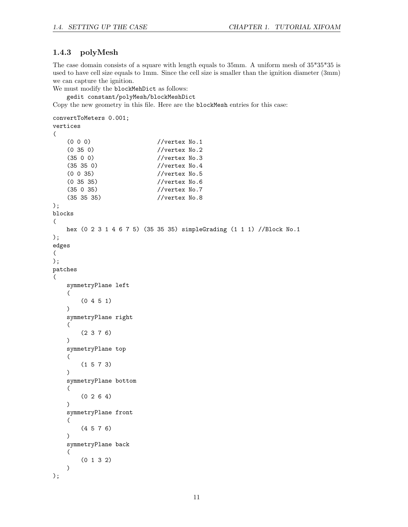#### <span id="page-11-0"></span>1.4.3 polyMesh

The case domain consists of a square with length equals to 35mm. A uniform mesh of 35\*35\*35 is used to have cell size equals to 1mm. Since the cell size is smaller than the ignition diameter (3mm) we can capture the ignition.

```
We must modify the blockMehDict as follows:
```

```
gedit constant/polyMesh/blockMeshDict
```
Copy the new geometry in this file. Here are the blockMesh entries for this case:

```
convertToMeters 0.001;
vertices
(
   (0 0 0) //vertex No.1<br>(0 35 0) //vertex No.2
                           //vertex No.2
   (35 0 0) //vertex No.3
   (35 35 0) //vertex No.4
   (0 0 35) //vertex No.5
   (0 35 35) //vertex No.6
   (35 0 35) //vertex No.7
   (35 35 35) //vertex No.8
);
blocks
(
   hex (0 2 3 1 4 6 7 5) (35 35 35) simpleGrading (1 1 1) //Block No.1
);
edges
(
);
patches
(
   symmetryPlane left
   (
       (0 4 5 1)
   )
   symmetryPlane right
   (
       (2 3 7 6)
   )
   symmetryPlane top
   (
       (1 5 7 3)
   )
   symmetryPlane bottom
   (
       (0 2 6 4)
   )
   symmetryPlane front
   (
       (4 5 7 6)
   )
   symmetryPlane back
   (
       (0 1 3 2)
   )
);
```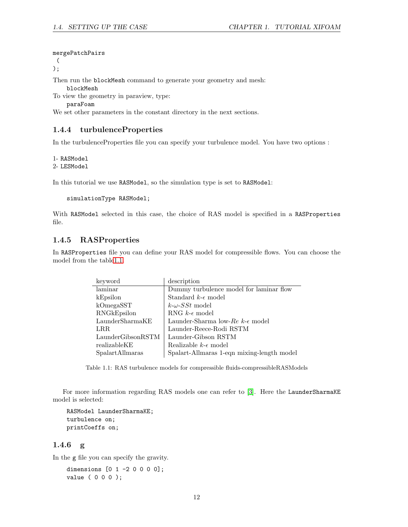#### mergePatchPairs

(

);

Then run the blockMesh command to generate your geometry and mesh:

blockMesh

To view the geometry in paraview, type:

paraFoam

We set other parameters in the constant directory in the next sections.

#### <span id="page-12-0"></span>1.4.4 turbulenceProperties

In the turbulenceProperties file you can specify your turbulence model. You have two options :

1- RASModel

2- LESModel

In this tutorial we use RASModel, so the simulation type is set to RASModel:

```
simulationType RASModel;
```
With RASModel selected in this case, the choice of RAS model is specified in a RASProperties file.

#### <span id="page-12-1"></span>1.4.5 RASProperties

In RASProperties file you can define your RAS model for compressible flows. You can choose the model from the tabl[e1.1.](#page-12-3)

| keyword                                             | description                                  |
|-----------------------------------------------------|----------------------------------------------|
| laminar                                             | Dummy turbulence model for laminar flow      |
| kEpsilon                                            | Standard $k$ - $\epsilon$ model              |
| kOmegaSST                                           | $k-\omega$ -SSt model                        |
| RNGkEpsilon                                         | RNG $k$ - $\epsilon$ model                   |
| $\label{eq:LaunderSharmaKE} \text{LaunderSharmaKE}$ | Launder-Sharma low-Re $k$ - $\epsilon$ model |
| LRR.                                                | Launder-Reece-Rodi RSTM                      |
| LaunderGibsonRSTM                                   | Launder-Gibson RSTM                          |
| realizableKE                                        | Realizable $k$ - $\epsilon$ model            |
| SpalartAllmaras                                     | Spalart-Allmaras 1-eqn mixing-length model   |

<span id="page-12-3"></span>Table 1.1: RAS turbulence models for compressible fluids-compressibleRASModels

For more information regarding RAS models one can refer to [\[3\]](#page-27-2). Here the LaunderSharmaKE model is selected:

```
RASModel LaunderSharmaKE;
turbulence on;
printCoeffs on;
```
#### <span id="page-12-2"></span>1.4.6 g

In the g file you can specify the gravity.

dimensions [0 1 -2 0 0 0 0]; value ( 0 0 0 );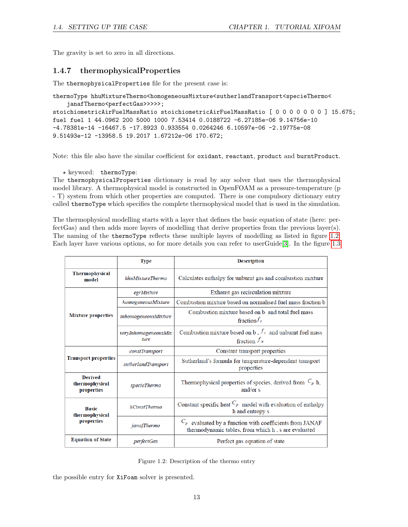The gravity is set to zero in all directions.

#### <span id="page-13-0"></span>1.4.7 thermophysicalProperties

The thermophysicalProperties file for the present case is:

```
thermoType hhuMixtureThermo<homogeneousMixture<sutherlandTransport<specieThermo<
    janafThermo<perfectGas>>>>>;
stoichiometricAirFuelMassRatio stoichiometricAirFuelMassRatio [ 0 0 0 0 0 0 0 ] 15.675;
fuel fuel 1 44.0962 200 5000 1000 7.53414 0.0188722 -6.27185e-06 9.14756e-10
-4.78381e-14 -16467.5 -17.8923 0.933554 0.0264246 6.10597e-06 -2.19775e-08
9.51493e-12 -13958.5 19.2017 1.67212e-06 170.672;
```
Note: this file also have the similar coefficient for oxidant, reactant, product and burntProduct.

 $\star$  keyword: thermoType:

The thermophysicalProperties dictionary is read by any solver that uses the thermophysical model library. A thermophysical model is constructed in OpenFOAM as a pressure-temperature (p - T) system from which other properties are computed. There is one compulsory dictionary entry called thermoType which specifies the complete thermophysical model that is used in the simulation.

The thermophysical modelling starts with a layer that defines the basic equation of state (here: perfectGas) and then adds more layers of modelling that derive properties from the previous layer(s). The naming of the thermoType reflects these multiple layers of modelling as listed in figure [1.2.](#page-13-1) Each layer have various options, so for more details you can refer to userGuide[\[3\]](#page-27-2). In the figure [1.3](#page-14-0)

|                                                | <b>Type</b>                  | <b>Description</b>                                                                                                |  |  |
|------------------------------------------------|------------------------------|-------------------------------------------------------------------------------------------------------------------|--|--|
| <b>Thermophysical</b><br>model                 | hhuMixtureThermo             | Calculates enthalpy for unburnt gas and combustion mixture                                                        |  |  |
|                                                | egrMixture                   | Exhaust gas recirculation mixture                                                                                 |  |  |
|                                                | homogeneousMixture           | Combustion mixture based on normalised fuel mass fraction b                                                       |  |  |
| <b>Mixture properties</b>                      | inhomogeneousMixture         | Combustion mixture based on b and total fuel mass<br>fraction $f_t$                                               |  |  |
|                                                | veryInhomogeneousMix<br>ture | Combustion mixture based on b, $f_t$ and unburnt fuel mass<br>fraction $f_u$                                      |  |  |
|                                                | constTransport               | Constant transport properties                                                                                     |  |  |
| <b>Transport properties</b>                    | sutherlandTransport          | Sutherland's formula for temperature-dependent transport<br>properties                                            |  |  |
| <b>Derived</b><br>thermophysical<br>properties | specieThermo                 | Thermophysical properties of species, derived from $C_p$ h,<br>and/or $s$                                         |  |  |
| <b>Basic</b><br>thermophysical                 | hConstThermo                 | Constant specific heat $C_p$ model with evaluation of enthalpy<br>h and entropy s                                 |  |  |
| properties                                     | janafThermo                  | $C_p$ evaluated by a function with coefficients from JANAF<br>thermodynamic tables, from which h, s are evaluated |  |  |
| <b>Equation of State</b>                       | perfectGas                   | Perfect gas equation of state                                                                                     |  |  |

<span id="page-13-1"></span>Figure 1.2: Description of the thermo entry

the possible entry for XiFoam solver is presented.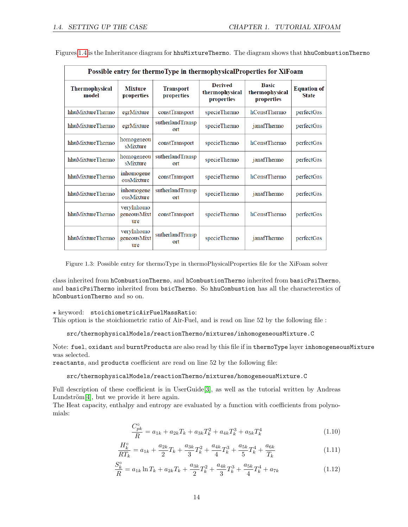| Possible entry for thermoType in thermophysicalProperties for XiFoam    |                                  |                                |                                                |                                              |                                    |
|-------------------------------------------------------------------------|----------------------------------|--------------------------------|------------------------------------------------|----------------------------------------------|------------------------------------|
| <b>Thermophysical</b><br>model                                          | <b>Mixture</b><br>properties     | <b>Transport</b><br>properties | <b>Derived</b><br>thermophysical<br>properties | <b>Basic</b><br>thermophysical<br>properties | <b>Equation of</b><br><b>State</b> |
| hhuMixtureThermo                                                        | egrMixture                       | constTransport                 | specieThermo                                   | hConstThermo                                 | perfectGas                         |
| hhuMixtureThermo<br>egrMixture<br>ort                                   |                                  | sutherlandTransp               | specieThermo                                   | janafThermo                                  | perfectGas                         |
| homogeneou<br>hhuMixtureThermo<br>constTransport<br>sMixture            |                                  | specieThermo                   | hConstThermo                                   | perfectGas                                   |                                    |
| sutherlandTransp<br>homogeneou<br>hhuMixtureThermo<br>sMixture<br>ort   |                                  | specieThermo                   | janafThermo                                    | perfectGas                                   |                                    |
| hhuMixtureThermo                                                        | inhomogene<br>ousMixture         | constTransport                 | specieThermo                                   | hConstThermo                                 | perfectGas                         |
| inhomogene<br>sutherlandTransp<br>hhuMixtureThermo<br>ousMixture<br>ort |                                  | specieThermo                   | janafThermo                                    | perfectGas                                   |                                    |
| hhuMixtureThermo                                                        | veryInhomo<br>geneousMixt<br>ure | constTransport                 | specieThermo                                   | hConstThermo                                 | perfectGas                         |
| hhuMixtureThermo                                                        | veryInhomo<br>geneousMixt<br>ure | sutherlandTransp<br>ort        | specieThermo                                   | janafThermo                                  | perfectGas                         |

Figures [1.4](#page-15-0) is the Inheritance diagram for hhuMixtureThermo. The diagram shows that hhuCombustionThermo

<span id="page-14-0"></span>Figure 1.3: Possible entry for thermoType in thermoPhysicalProperties file for the XiFoam solver

class inherited from hCombustionThermo, and hCombustionThermo inherited from basicPsiThermo, and basicPsiThermo inherited from bsicThermo. So hhuCombustion has all the characterestics of hCombustionThermo and so on.

#### $\star$  keyword: stoichiometricAirFuelMassRatio:

This option is the stoichiometric ratio of Air-Fuel, and is read on line 52 by the following file :

src/thermophysicalModels/reactionThermo/mixtures/inhomogeneousMixture.C

Note: fuel, oxidant and burntProducts are also read by this file if in thermoType layer inhomogeneousMixture was selected.

reactants, and products coefficient are read on line 52 by the following file:

src/thermophysicalModels/reactionThermo/mixtures/homogeneousMixture.C

Full description of these coefficient is in UserGuide[\[3\]](#page-27-2), as well as the tutorial written by Andreas Lundström $[4]$ , but we provide it here again.

The Heat capacity, enthalpy and entropy are evaluated by a function with coefficients from polynomials:

$$
\frac{C_{pk}^{\circ}}{R} = a_{1k} + a_{2k}T_k + a_{3k}T_k^2 + a_{4k}T_k^3 + a_{5k}T_k^4
$$
\n(1.10)

$$
\frac{H_k^{\circ}}{RT_k} = a_{1k} + \frac{a_{2k}}{2}T_k + \frac{a_{3k}}{3}T_k^2 + \frac{a_{4k}}{4}T_k^3 + \frac{a_{5k}}{5}T_k^4 + \frac{a_{6k}}{T_k}
$$
\n(1.11)

$$
\frac{S_k^{\circ}}{R} = a_{1k} \ln T_k + a_{2k} T_k + \frac{a_{3k}}{2} T_k^2 + \frac{a_{4k}}{3} T_k^3 + \frac{a_{5k}}{4} T_k^4 + a_{7k} \tag{1.12}
$$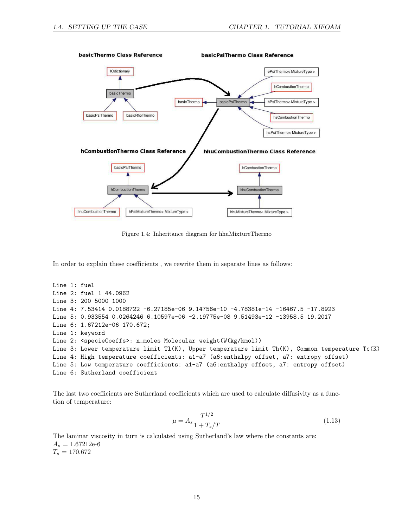

<span id="page-15-0"></span>Figure 1.4: Inheritance diagram for hhuMixtureThermo

In order to explain these coefficients , we rewrite them in separate lines as follows:

Line 1: fuel Line 2: fuel 1 44.0962 Line 3: 200 5000 1000 Line 4: 7.53414 0.0188722 -6.27185e-06 9.14756e-10 -4.78381e-14 -16467.5 -17.8923 Line 5: 0.933554 0.0264246 6.10597e-06 -2.19775e-08 9.51493e-12 -13958.5 19.2017 Line 6: 1.67212e-06 170.672; Line 1: keyword Line 2: <specieCoeffs>: n\_moles Molecular weight(W(kg/kmol)) Line 3: Lower temperature limit Tl(K), Upper temperature limit Th(K), Common temperature Tc(K) Line 4: High temperature coefficients: a1-a7 (a6:enthalpy offset, a7: entropy offset) Line 5: Low temperature coefficients: a1-a7 (a6:enthalpy offset, a7: entropy offset) Line 6: Sutherland coefficient

The last two coefficients are Sutherland coefficients which are used to calculate diffusivity as a function of temperature:

$$
\mu = A_s \frac{T^{1/2}}{1 + T_s/T} \tag{1.13}
$$

The laminar viscosity in turn is calculated using Sutherland's law where the constants are:  $A_s = 1.67212e-6$  $T_s = 170.672$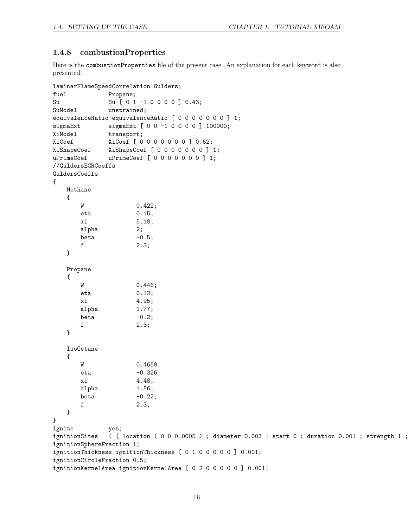#### <span id="page-16-0"></span>1.4.8 combustionProperties

Here is the combustionProperties file of the present case. An explanation for each keyword is also presented.

```
laminarFlameSpeedCorrelation Gulders;
fuel Propane;
Su Su [ 0 1 -1 0 0 0 0 ] 0.43;
SuModel unstrained;
equivalenceRatio equivalenceRatio [ 0 0 0 0 0 0 0 ] 1;
sigmaExt sigmaExt [ 0 0 -1 0 0 0 0 ] 100000;
XiModel transport;
XiCoef XiCoef [ 0 0 0 0 0 0 0 ] 0.62;
XiShapeCoef XiShapeCoef [ 0 0 0 0 0 0 0 ] 1;
uPrimeCoef uPrimeCoef [ 0 0 0 0 0 0 0 ] 1;
//GuldersEGRCoeffs
GuldersCoeffs
{
   Methane
   {
      W 0.422;
      eta 0.15;
      xi 5.18;
      alpha 2;
      beta -0.5;
      f 2.3;
   }
   Propane
   {
      W 0.446;
      eta 0.12;
      xi 4.95;
      alpha 1.77;
      beta -0.2;
      f 2.3;
   }
   IsoOctane
   {
      W 0.4658;
      eta -0.326;
      xi 4.48;
      alpha 1.56;
      beta -0.22;
      f 2.3;
   }
}
ignite yes;
ignitionSites ( { location ( 0 0 0.0005 ) ; diameter 0.003 ; start 0 ; duration 0.001 ; strength 1 ;
ignitionSphereFraction 1;
ignitionThickness ignitionThickness [ 0 1 0 0 0 0 0 ] 0.001;
ignitionCircleFraction 0.5;
ignitionKernelArea ignitionKernelArea [ 0 2 0 0 0 0 0 ] 0.001;
```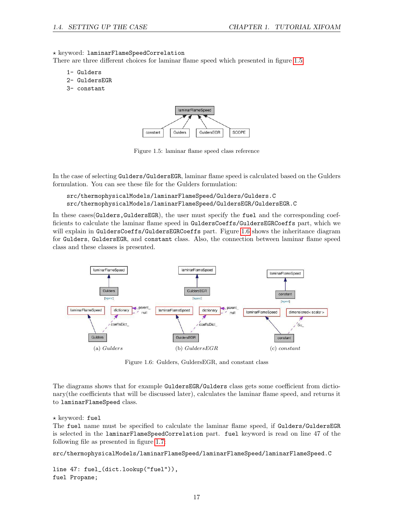#### $\star$  keyword: laminarFlameSpeedCorrelation

There are three different choices for laminar flame speed which presented in figure [1.5:](#page-17-0)

- 1- Gulders
- 2- GuldersEGR
- 3- constant



<span id="page-17-0"></span>Figure 1.5: laminar flame speed class reference

In the case of selecting Gulders/GuldersEGR, laminar flame speed is calculated based on the Gulders formulation. You can see these file for the Gulders formulation:

```
src/thermophysicalModels/laminarFlameSpeed/Gulders/Gulders.C
src/thermophysicalModels/laminarFlameSpeed/GuldersEGR/GuldersEGR.C
```
In these cases(Gulders,GuldersEGR), the user must specify the fuel and the corresponding coefficients to calculate the laminar flame speed in GuldersCoeffs/GuldersEGRCoeffs part, which we will explain in GuldersCoeffs/GuldersEGRCoeffs part. Figure [1.6](#page-17-1) shows the inheritance diagram for Gulders, GuldersEGR, and constant class. Also, the connection between laminar flame speed class and these classes is presented.



<span id="page-17-1"></span>Figure 1.6: Gulders, GuldersEGR, and constant class

The diagrams shows that for example GuldersEGR/Gulders class gets some coefficient from dictionary(the coefficients that will be discussed later), calculates the laminar flame speed, and returns it to laminarFlameSpeed class.

#### $\star$  keyword: fuel

The fuel name must be specified to calculate the laminar flame speed, if Gulders/GuldersEGR is selected in the laminarFlameSpeedCorrelation part. fuel keyword is read on line 47 of the following file as presented in figure [1.7:](#page-18-0)

```
src/thermophysicalModels/laminarFlameSpeed/laminarFlameSpeed/laminarFlameSpeed.C
```

```
line 47: fuel_(dict.lookup("fuel")),
fuel Propane;
```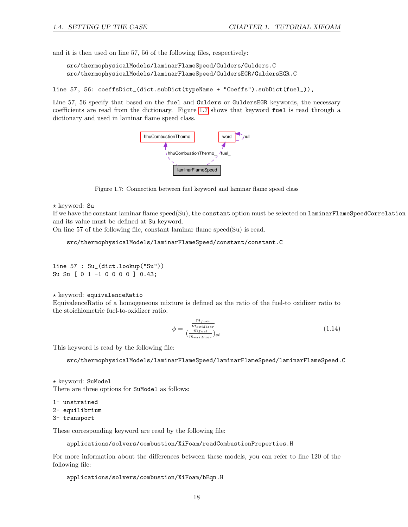and it is then used on line 57, 56 of the following files, respectively:

```
src/thermophysicalModels/laminarFlameSpeed/Gulders/Gulders.C
src/thermophysicalModels/laminarFlameSpeed/GuldersEGR/GuldersEGR.C
```
line 57, 56: coeffsDict\_(dict.subDict(typeName + "Coeffs").subDict(fuel\_)),

Line 57, 56 specify that based on the fuel and Gulders or GuldersEGR keywords, the necessary coefficients are read from the dictionary. Figure [1.7](#page-18-0) shows that keyword fuel is read through a dictionary and used in laminar flame speed class.



<span id="page-18-0"></span>Figure 1.7: Connection between fuel keyword and laminar flame speed class

 $\star$  keyword: Su

If we have the constant laminar flame speed(Su), the constant option must be selected on laminarFlameSpeedCorrelation and its value must be defined at Su keyword.

On line 57 of the following file, constant laminar flame speed(Su) is read.

src/thermophysicalModels/laminarFlameSpeed/constant/constant.C

line 57 : Su\_(dict.lookup("Su")) Su Su [ 0 1 -1 0 0 0 0 ] 0.43;

 $\star$  keyword: equivalenceRatio

EquivalenceRatio of a homogeneous mixture is defined as the ratio of the fuel-to oxidizer ratio to the stoichiometric fuel-to-oxidizer ratio.

$$
\phi = \frac{\frac{m_{fuel}}{m_{oxidizer}}}{\left(\frac{m_{fuel}}{m_{oxidizer}}\right)_{st}}\tag{1.14}
$$

This keyword is read by the following file:

src/thermophysicalModels/laminarFlameSpeed/laminarFlameSpeed/laminarFlameSpeed.C

? keyword: SuModel There are three options for SuModel as follows:

1- unstrained

2- equilibrium

3- transport

These corresponding keyword are read by the following file:

```
applications/solvers/combustion/XiFoam/readCombustionProperties.H
```
For more information about the differences between these models, you can refer to line 120 of the following file:

```
applications/solvers/combustion/XiFoam/bEqn.H
```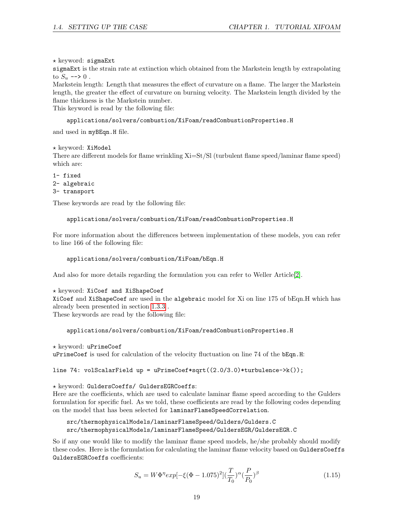$\star$  keyword: sigmaExt

sigmaExt is the strain rate at extinction which obtained from the Markstein length by extrapolating to  $S_u \longrightarrow 0$ .

Markstein length: Length that measures the effect of curvature on a flame. The larger the Markstein length, the greater the effect of curvature on burning velocity. The Markstein length divided by the flame thickness is the Markstein number.

This keyword is read by the following file:

#### applications/solvers/combustion/XiFoam/readCombustionProperties.H

and used in myBEqn.H file.

 $\star$  keyword: XiModel

There are different models for flame wrinkling Xi=St/Sl (turbulent flame speed/laminar flame speed) which are:

```
1- fixed
2- algebraic
3- transport
```
These keywords are read by the following file:

#### applications/solvers/combustion/XiFoam/readCombustionProperties.H

For more information about the differences between implementation of these models, you can refer to line 166 of the following file:

```
applications/solvers/combustion/XiFoam/bEqn.H
```
And also for more details regarding the formulation you can refer to Weller Article<sup>[\[2\]](#page-27-1)</sup>.

```
\star keyword: XiCoef and XiShapeCoef
```
XiCoef and XiShapeCoef are used in the algebraic model for Xi on line 175 of bEqn.H which has already been presented in section [1.3.3](#page-8-0) .

These keywords are read by the following file:

#### applications/solvers/combustion/XiFoam/readCombustionProperties.H

 $\star$  keyword: uPrimeCoef

uPrimeCoef is used for calculation of the velocity fluctuation on line 74 of the bEqn.H:

line 74: volScalarField up = uPrimeCoef\*sqrt $((2.0/3.0)*turbulence->k())$ ;

\* keyword: GuldersCoeffs/ GuldersEGRCoeffs:

Here are the coefficients, which are used to calculate laminar flame speed according to the Gulders formulation for specific fuel. As we told, these coefficients are read by the following codes depending on the model that has been selected for laminarFlameSpeedCorrelation.

```
src/thermophysicalModels/laminarFlameSpeed/Gulders/Gulders.C
src/thermophysicalModels/laminarFlameSpeed/GuldersEGR/GuldersEGR.C
```
So if any one would like to modify the laminar flame speed models, he/she probably should modify these codes. Here is the formulation for calculating the laminar flame velocity based on GuldersCoeffs GuldersEGRCoeffs coefficients:

$$
S_u = W\Phi^{\eta}exp[-\xi(\Phi - 1.075)^2](\frac{T}{T_0})^{\alpha}(\frac{P}{P_0})^{\beta}
$$
\n(1.15)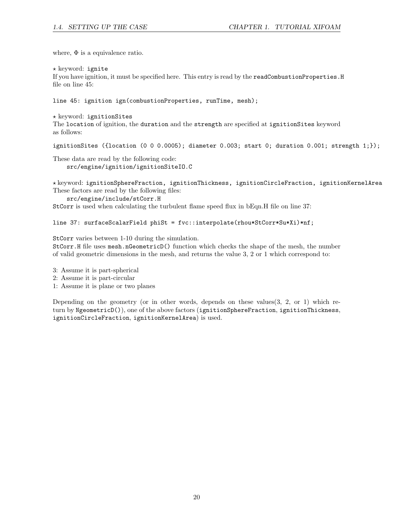where,  $\Phi$  is a equivalence ratio.

 $\star$  keyword: ignite

If you have ignition, it must be specified here. This entry is read by the readCombustionProperties.H file on line 45:

line 45: ignition ign(combustionProperties, runTime, mesh);

 $\star$  keyword: ignitionSites The location of ignition, the duration and the strength are specified at ignitionSites keyword as follows:

ignitionSites ({location (0 0 0.0005); diameter 0.003; start 0; duration 0.001; strength  $1;$ });

These data are read by the following code: src/engine/ignition/ignitionSiteIO.C

 $\star$  keyword: ignitionSphereFraction, ignitionThickness, ignitionCircleFraction, ignitionKernelArea These factors are read by the following files:

src/engine/include/stCorr.H

StCorr is used when calculating the turbulent flame speed flux in bEqn.H file on line 37:

#### line 37: surfaceScalarField phiSt = fvc::interpolate(rhou\*StCorr\*Su\*Xi)\*nf;

StCorr varies between 1-10 during the simulation.

StCorr.H file uses mesh.nGeometricD() function which checks the shape of the mesh, the number of valid geometric dimensions in the mesh, and returns the value 3, 2 or 1 which correspond to:

3: Assume it is part-spherical

- 2: Assume it is part-circular
- 1: Assume it is plane or two planes

Depending on the geometry (or in other words, depends on these values(3, 2, or 1) which return by NgeometricD()), one of the above factors (ignitionSphereFraction, ignitionThickness, ignitionCircleFraction, ignitionKernelArea) is used.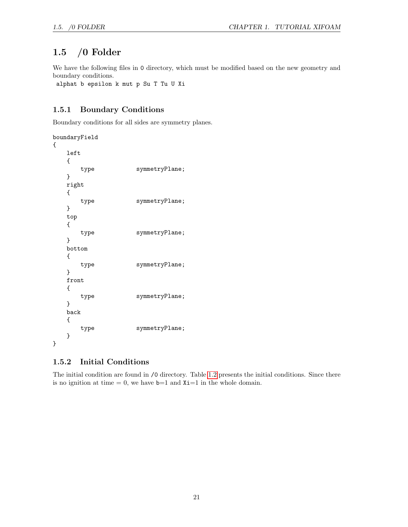### <span id="page-21-0"></span>1.5 /0 Folder

We have the following files in 0 directory, which must be modified based on the new geometry and boundary conditions.

alphat b epsilon k mut p Su T Tu U Xi

#### <span id="page-21-1"></span>1.5.1 Boundary Conditions

Boundary conditions for all sides are symmetry planes.

```
boundaryField
{
   left
   {
      type symmetryPlane;
   }
   right
   {
      type symmetryPlane;
   }
   top
   {
      type symmetryPlane;
   }
   bottom
   {
      type symmetryPlane;
   }
   front
   {
      type symmetryPlane;
   }
   back
   {
      type symmetryPlane;
   }
}
```
#### <span id="page-21-2"></span>1.5.2 Initial Conditions

The initial condition are found in /0 directory. Table [1.2](#page-22-0) presents the initial conditions. Since there is no ignition at time  $= 0$ , we have  $b=1$  and  $Xi=1$  in the whole domain.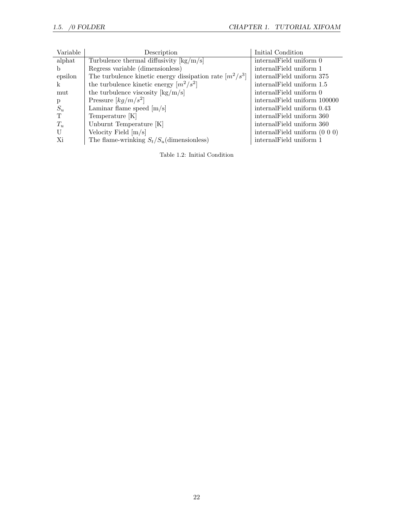| Variable | Description                                                            | Initial Condition                   |
|----------|------------------------------------------------------------------------|-------------------------------------|
| alphat   | Turbulence thermal diffusivity $\frac{\log(m)}{s}$                     | internal Field uniform 0            |
| b.       | Regress variable (dimensionless)                                       | internal Field uniform 1            |
| epsilon  | The turbulence kinetic energy dissipation rate $\lceil m^2/s^3 \rceil$ | internal Field uniform 375          |
| k        | the turbulence kinetic energy $[m^2/s^2]$                              | internal Field uniform 1.5          |
| mut      | the turbulence viscosity $\frac{\log(m)}{s}$                           | internal Field uniform 0            |
| p        | Pressure $\left\lfloor k\frac{g}{m/s^2} \right\rfloor$                 | internal Field uniform 100000       |
| $S_u$    | Laminar flame speed $[m/s]$                                            | internalField uniform 0.43          |
| T        | Temperature [K]                                                        | internalField uniform 360           |
| $T_u$    | Unburnt Temperature [K]                                                | internal Field uniform 360          |
| U        | Velocity Field $[m/s]$                                                 | internal<br>Field uniform $(0 0 0)$ |
| Xi       | The flame-wrinking $S_t/S_u$ (dimensionless)                           | internal Field uniform 1            |

<span id="page-22-0"></span>Table 1.2: Initial Condition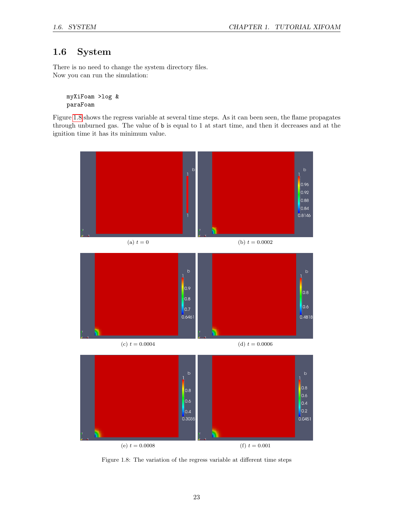### <span id="page-23-0"></span>1.6 System

There is no need to change the system directory files. Now you can run the simulation:

myXiFoam >log & paraFoam

Figure [1.8](#page-23-1) shows the regress variable at several time steps. As it can been seen, the flame propagates through unburned gas. The value of b is equal to 1 at start time, and then it decreases and at the ignition time it has its minimum value.



<span id="page-23-1"></span>Figure 1.8: The variation of the regress variable at different time steps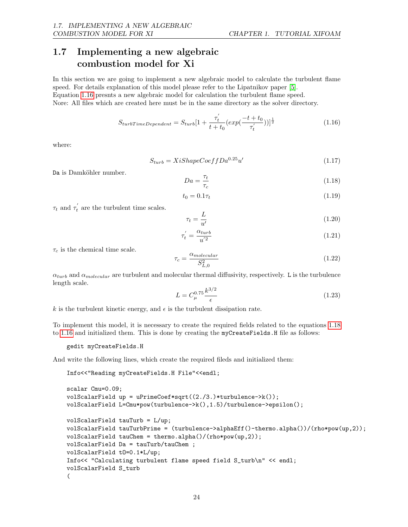### <span id="page-24-0"></span>1.7 Implementing a new algebraic combustion model for Xi

In this section we are going to implement a new algebraic model to calculate the turbulent flame speed. For details explanation of this model please refer to the Lipatnikov paper [\[5\]](#page-27-4). Equation [1.16](#page-24-1) presnts a new algebraic model for calculation the turbulent flame speed. Nore: All files which are created here must be in the same directory as the solver directory.

> <span id="page-24-1"></span> $S_{turbTimeDependent} = S_{turb}[1 + \frac{\tau'_t}{\tau_t}]$  $\frac{\tau_t^{'}}{t+t_0}(exp(\frac{-t+t_0}{\tau_t^{'}}$  $\overline{\tau'_t}$  $))$ <sup> $\frac{1}{2}$ </sup>  $(1.16)$

where:

$$
S_{turb} = XiShapeCoeffDa0.25u'
$$
\n(1.17)

Da is Damköhler number.

<span id="page-24-2"></span>
$$
Da = \frac{\tau_t}{\tau_c} \tag{1.18}
$$

$$
t_0 = 0.1\tau_t \tag{1.19}
$$

 $\tau_t$  and  $\tau'_t$  are the turbulent time scales.

$$
\tau_t = \frac{L}{u'}\tag{1.20}
$$

$$
\tau_t' = \frac{\alpha_{turb}}{u^{'2}}\tag{1.21}
$$

 $\tau_c$  is the chemical time scale.

$$
\tau_c = \frac{\alpha_{molecular}}{S_{L,0}^2} \tag{1.22}
$$

 $\alpha_{turb}$  and  $\alpha_{molecular}$  are turbulent and molecular thermal diffusivity, respectively. L is the turbulence length scale.

$$
L = C_{\mu}^{0.75} \frac{k^{3/2}}{\epsilon} \tag{1.23}
$$

k is the turbulent kinetic energy, and  $\epsilon$  is the turbulent dissipation rate.

To implement this model, it is necessary to create the required fields related to the equations [1.18](#page-24-2) to [1.16](#page-24-1) and initialized them. This is done by creating the myCreateFields.H file as follows:

gedit myCreateFields.H

And write the following lines, which create the required fileds and initialized them:

Info<<"Reading myCreateFields.H File"<<endl;

```
scalar Cmu=0.09;
volScalarField up = uPrimeCoef*sqrt((2./3.)*turbulence->k());
volScalarField L=Cmu*pow(turbulence->k(),1.5)/turbulence->epsilon();
volScalarField tauTurb = L/up;
volScalarField tauTurbPrime = (turbulence->alphaEff()-thermo.alpha())/(rho*pow(up,2));
volScalarField tauChem = thermo.alpha()/(rho*pow(up,2));
volScalarField Da = tauTurb/tauChem ;
volScalarField tO=0.1*L/up;
Info<< "Calculating turbulent flame speed field S_turb\n" << endl;
volScalarField S_turb
(
```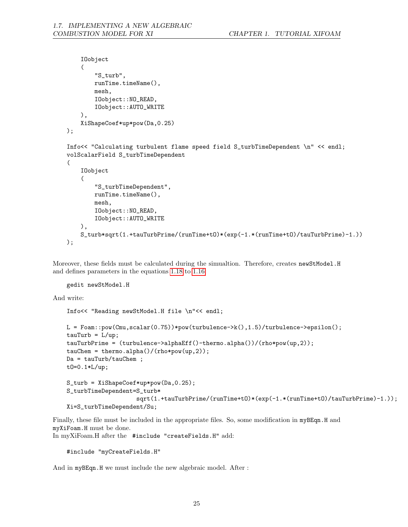```
IOobject
    \left("S_turb",
        runTime.timeName(),
        mesh,
        IOobject::NO_READ,
        IOobject::AUTO_WRITE
    ),
    XiShapeCoef*up*pow(Da,0.25)
);
Info<< "Calculating turbulent flame speed field S_turbTimeDependent \n" << endl;
volScalarField S_turbTimeDependent
(
    IOobject
    (
        "S_turbTimeDependent",
        runTime.timeName(),
        mesh,
        IOobject::NO_READ,
        IOobject::AUTO_WRITE
    ),
    S_turb*sqrt(1.+tauTurbPrime/(runTime+tO)*(exp(-1.*(runTime+tO)/tauTurbPrime)-1.))
);
```
Moreover, these fields must be calculated during the simualtion. Therefore, creates newStModel.H and defines parameters in the equations [1.18](#page-24-2) to [1.16:](#page-24-1)

```
gedit newStModel.H
```
And write:

```
Info<< "Reading newStModel.H file \n"<< endl;
L = F \text{oam::pow}(Cmu, \text{scalar}(0.75)) * pow(\text{turbulence-} \times k(), 1.5)/\text{turbulence-} \times epsilon(),taub = L-up;
tauTurbPrime = (turbulence->alphaEff()-thermo.alpha())/(rho*pow(up,2));
tauChermo.alpha()/(rho*pow(up,2));
Da = tauTurb/tauChem ;
tO=0.1*L/up;
S_turb = XiShapeCoef*up*pow(Da,0.25);
S_turbTimeDependent=S_turb*
                      sqrt(1.+tauTurbPrime/(runTime+t0)*(exp(-1.*(runTime+t0)/tauTurbPrime)-1.));
Xi=S_turbTimeDependent/Su;
```
Finally, these file must be included in the appropriate files. So, some modification in myBEqn.H and myXiFoam.H must be done. In myXiFoam.H after the #include "createFields.H" add:

```
#include "myCreateFields.H"
```
And in myBEqn.H we must include the new algebraic model. After :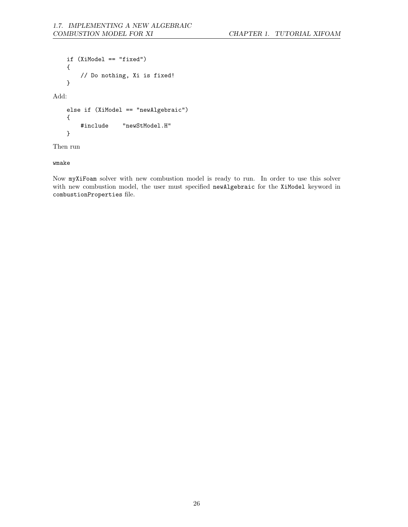```
if (XiModel == "fixed")
    {
        // Do nothing, Xi is fixed!
    }
Add:
    else if (XiModel == "newAlgebraic")
    {
        #include "newStModel.H"
    }
```
Then run

wmake

Now myXiFoam solver with new combustion model is ready to run. In order to use this solver with new combustion model, the user must specified newAlgebraic for the XiModel keyword in combustionProperties file.